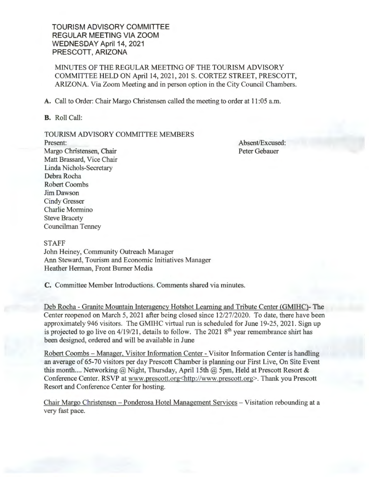TOURISM ADVISORY COMMITTEE REGULAR MEETING VIA ZOOM WEDNESDAY April 14, 2021 PRESCOTT, ARIZONA

MINUTES OF THE REGULAR MEETING OF THE TOURISM ADVISORY COMMITTEE HELD ON April 14, 2021, 201 S. CORTEZ STREET, PRESCOTT, ARIZONA. Via Zoom Meeting and in person option in the City Council Chambers.

A. Call to Order: Chair Margo Christensen called the meeting to order at 11 :05 a.m.

B. Roll Call:

## TOURISM ADVISORY COMMITTEE MEMBERS

Present: Margo Christensen, Chair Matt Brassard, Vice Chair Linda Nichols-Secretary Debra Rocha Robert Coombs Jim Dawson Cindy Gresser Charlie Mormino Steve Bracety Councilman Tenney

Absent/Excused: Peter Gebauer

## STAFF

John Heiney, Community Outreach Manager Ann Steward, Tourism and Economic Initiatives Manager Heather Herman, Front Burner Media

C. Committee Member Introductions. Comments shared via minutes.

Deb Rocha - Granite Mountain Interagency Hotshot Learning and Tribute Center (GMIHC)-The Center reopened on March 5, 2021 after being closed since 12/27/2020. To date, there have been approximately 946 visitors. The GMIHC virtual run is scheduled for June 19-25, 2021. Sign up is projected to go live on  $4/19/21$ , details to follow. The 2021  $8<sup>th</sup>$  year remembrance shirt has been designed, ordered and will be available in June

Robert Coombs – Manager, Visitor Information Center - Visitor Information Center is handling an average of 65-70 visitors per day Prescott Chamber is planning our First Live, On Site Event this month .... Networking  $@$  Night, Thursday, April 15th  $@$  5pm, Held at Prescott Resort & Conference Center. RSVP at www.prescott.org<http://www.prescott.org>. Thank you Prescott Resort and Conference Center for hosting.

Chair Margo Christensen - Ponderosa Hotel Management Services - Visitation rebounding at a very fast pace.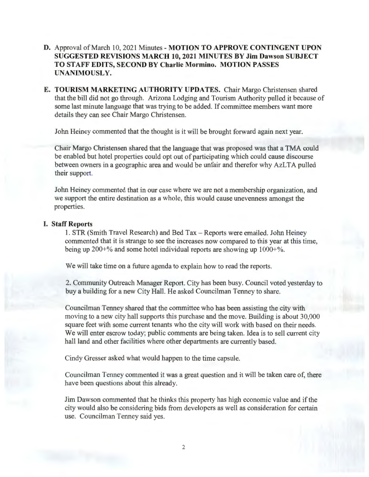- **D.** Approval of March 10, 2021 Minutes **MOTION TO APPROVE CONTINGENT UPON SUGGESTED REVISIONS MARCH 10, 2021 MINUTES BY Jim Dawson SUBJECT TO STAFF EDITS, SECOND BY Charlie Mormino. MOTION PASSES UNANIMOUSLY.**
- **E. TOURISM MARKETING AUTHORITY UPDATES.** Chair Margo Christensen shared that the bill did not go through. Arizona Lodging and Tourism Authority pulled it because of some last minute language that was trying to be added. If committee members want more details they can see Chair Margo Christensen.

John Heiney commented that the thought is it will be brought forward again next year.

Chair Margo Christensen shared that the language that was proposed was that a TMA could be enabled but hotel properties could opt out of participating which could cause discourse between owners in a geographic area and would be unfair and therefor why AzLTA pulled their support.

John Heiney commented that in our case where we are not a membership organization, and we support the entire destination as a whole, this would cause unevenness amongst the properties.

## **I. Staff Reports**

1. STR (Smith Travel Research) and Bed Tax - Reports were emailed. John Heiney commented that it is strange to see the increases now compared to this year at this time, being up 200+% and some hotel individual reports are showing up 1000+%.

We will take time on a future agenda to explain how to read the reports.

2. Community Outreach Manager Report. City has been busy. Council voted yesterday to buy a building for a new City Hall. He asked Councilman Tenney to share.

Councilman Tenney shared that the committee who has been assisting the city with moving to a new city hall supports this purchase and the move. Building is about 30,000 square feet with some current tenants who the city will work with based on their needs. We will enter escrow today; public comments are being taken. Idea is to sell current city hall land and other facilities where other departments are currently based.

Cindy Gresser asked what would happen to the time capsule.

Councilman Tenney commented it was a great question and it will be taken care of, there have been questions about this already.

Jim Dawson commented that he thinks this property has high economic value and ifthe city would also be considering bids from developers as well as consideration for certain use. Councilman Tenney said yes.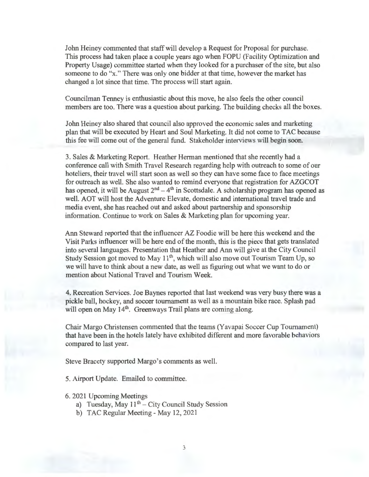John Heiney commented that staff will develop a Request for Proposal for purchase. This process had taken place a couple years ago when FOPU (Facility Optimization and Property Usage) committee started when they looked for a purchaser of the site, but also someone to do "x." There was only one bidder at that time, however the market has changed a lot since that time. The process will start again.

Councilman Tenney is enthusiastic about this move, he also feels the other council members are too. There was a question about parking. The building checks all the boxes.

John Heiney also shared that council also approved the economic sales and marketing plan that will be executed by Heart and Soul Marketing. It did not come to TAC because this fee will come out of the general fund. Stakeholder interviews will begin soon.

3. Sales & Marketing Report. Heather Herman mentioned that she recently had a conference call with Smith Travel Research regarding help with outreach to some of our hoteliers, their travel will start soon as well so they can have some face to face meetings for outreach as well. She also wanted to remind everyone that registration for AZGCOT has opened, it will be August  $2^{nd} - 4^{th}$  in Scottsdale. A scholarship program has opened as well. AOT will host the Adventure Elevate, domestic and international travel trade and media event, she has reached out and asked about partnership and sponsorship information. Continue to work on Sales & Marketing plan for upcoming year.

Ann Steward reported that the influencer AZ Foodie will be here this weekend and the Visit Parks influencer will be here end of the month, this is the piece that gets translated into several languages. Presentation that Heather and Ann will give at the City Council Study Session got moved to May  $11<sup>th</sup>$ , which will also move out Tourism Team Up, so we will have to think about a new date, as well as figuring out what we want to do or mention about National Travel and Tourism Week.

4. Recreation Services. Joe Baynes reported that last weekend was very busy there was a pickle ball, hockey, and soccer tournament as well as a mountain bike race. Splash pad will open on May  $14<sup>th</sup>$ . Greenways Trail plans are coming along.

Chair Margo Christensen commented that the teams (Yavapai Soccer Cup Tournament) that have been in the hotels lately have exhibited different and more favorable behaviors compared to last year.

Steve Bracety supported Margo's comments as well.

5. Airport Update. Emailed to committee.

- 6. 2021 Upcoming Meetings
	- a) Tuesday, May  $11<sup>th</sup>$  City Council Study Session
	- b) TAC Regular Meeting May 12, 2021